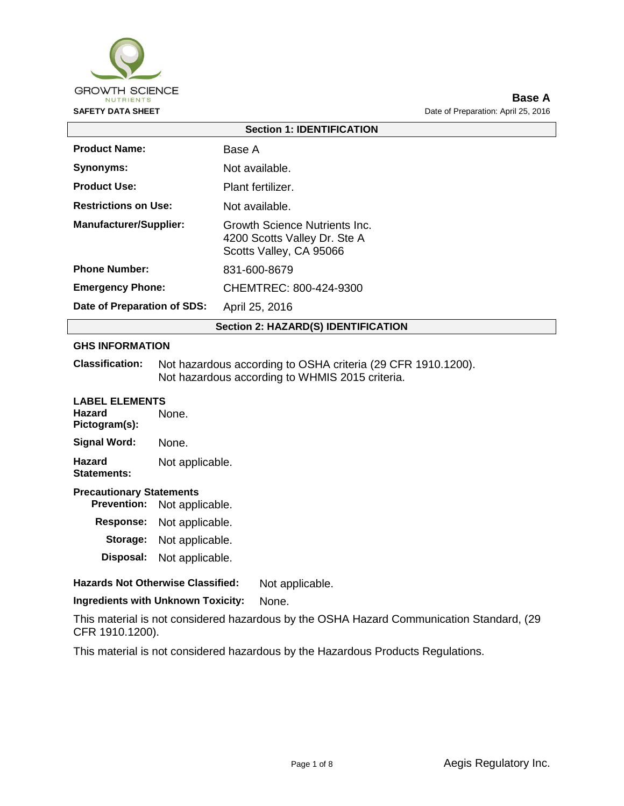

## **Base A SAFETY DATA SHEET DATA SHEET Data of Preparation:** April 25, 2016

| <b>Section 1: IDENTIFICATION</b>                                                                                          |                        |  |  |
|---------------------------------------------------------------------------------------------------------------------------|------------------------|--|--|
| <b>Product Name:</b>                                                                                                      | Base A                 |  |  |
| Synonyms:                                                                                                                 | Not available.         |  |  |
| <b>Product Use:</b>                                                                                                       | Plant fertilizer.      |  |  |
| <b>Restrictions on Use:</b>                                                                                               | Not available.         |  |  |
| <b>Manufacturer/Supplier:</b><br>Growth Science Nutrients Inc.<br>4200 Scotts Valley Dr. Ste A<br>Scotts Valley, CA 95066 |                        |  |  |
| <b>Phone Number:</b>                                                                                                      | 831-600-8679           |  |  |
| <b>Emergency Phone:</b>                                                                                                   | CHEMTREC: 800-424-9300 |  |  |
| Date of Preparation of SDS:                                                                                               | April 25, 2016         |  |  |
| <b>Section 2: HAZARD(S) IDENTIFICATION</b>                                                                                |                        |  |  |

## **GHS INFORMATION**

**Classification:** Not hazardous according to OSHA criteria (29 CFR 1910.1200). Not hazardous according to WHMIS 2015 criteria.

| <b>LABEL ELEMENTS</b><br>Hazard<br>Pictogram(s):                         | None.           |  |
|--------------------------------------------------------------------------|-----------------|--|
| Signal Word:                                                             | None.           |  |
| Hazard<br>Statements:                                                    | Not applicable. |  |
| <b>Precautionary Statements</b><br><b>Prevention:</b><br>Not applicable. |                 |  |
| <b>Response:</b>                                                         | Not applicable. |  |

| vespunse. | <b>NOT applicable.</b> |  |
|-----------|------------------------|--|
| Storage:  | Not applicable.        |  |
| Disposal: | Not applicable.        |  |

## **Hazards Not Otherwise Classified:** Not applicable.

**Ingredients with Unknown Toxicity:** None.

This material is not considered hazardous by the OSHA Hazard Communication Standard, (29 CFR 1910.1200).

This material is not considered hazardous by the Hazardous Products Regulations.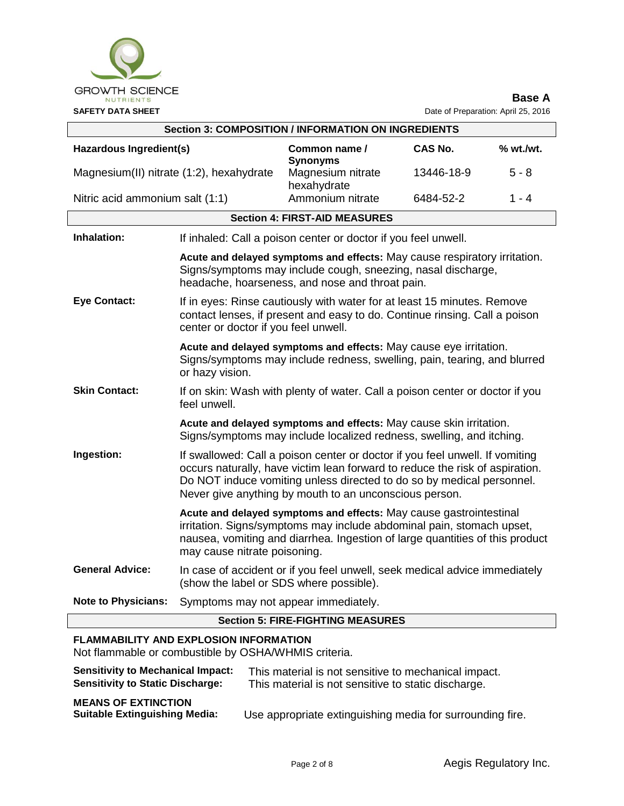

| <b>Section 3: COMPOSITION / INFORMATION ON INGREDIENTS</b>                                                                                                       |                                                                                                                                                                                                                                                                                                 |                                      |            |          |
|------------------------------------------------------------------------------------------------------------------------------------------------------------------|-------------------------------------------------------------------------------------------------------------------------------------------------------------------------------------------------------------------------------------------------------------------------------------------------|--------------------------------------|------------|----------|
| Hazardous Ingredient(s)                                                                                                                                          |                                                                                                                                                                                                                                                                                                 | Common name /<br><b>Synonyms</b>     | CAS No.    | % wt.Wt. |
| Magnesium(II) nitrate (1:2), hexahydrate                                                                                                                         |                                                                                                                                                                                                                                                                                                 | Magnesium nitrate<br>hexahydrate     | 13446-18-9 | $5 - 8$  |
| Nitric acid ammonium salt (1:1)                                                                                                                                  |                                                                                                                                                                                                                                                                                                 | Ammonium nitrate                     | 6484-52-2  | 1 - 4    |
|                                                                                                                                                                  |                                                                                                                                                                                                                                                                                                 | <b>Section 4: FIRST-AID MEASURES</b> |            |          |
| Inhalation:                                                                                                                                                      | If inhaled: Call a poison center or doctor if you feel unwell.                                                                                                                                                                                                                                  |                                      |            |          |
|                                                                                                                                                                  | Acute and delayed symptoms and effects: May cause respiratory irritation.<br>Signs/symptoms may include cough, sneezing, nasal discharge,<br>headache, hoarseness, and nose and throat pain.                                                                                                    |                                      |            |          |
| <b>Eye Contact:</b>                                                                                                                                              | If in eyes: Rinse cautiously with water for at least 15 minutes. Remove<br>contact lenses, if present and easy to do. Continue rinsing. Call a poison<br>center or doctor if you feel unwell.                                                                                                   |                                      |            |          |
| Acute and delayed symptoms and effects: May cause eye irritation.<br>Signs/symptoms may include redness, swelling, pain, tearing, and blurred<br>or hazy vision. |                                                                                                                                                                                                                                                                                                 |                                      |            |          |
| <b>Skin Contact:</b>                                                                                                                                             | If on skin: Wash with plenty of water. Call a poison center or doctor if you<br>feel unwell.                                                                                                                                                                                                    |                                      |            |          |
|                                                                                                                                                                  | Acute and delayed symptoms and effects: May cause skin irritation.<br>Signs/symptoms may include localized redness, swelling, and itching.                                                                                                                                                      |                                      |            |          |
| Ingestion:                                                                                                                                                       | If swallowed: Call a poison center or doctor if you feel unwell. If vomiting<br>occurs naturally, have victim lean forward to reduce the risk of aspiration.<br>Do NOT induce vomiting unless directed to do so by medical personnel.<br>Never give anything by mouth to an unconscious person. |                                      |            |          |
|                                                                                                                                                                  | Acute and delayed symptoms and effects: May cause gastrointestinal<br>irritation. Signs/symptoms may include abdominal pain, stomach upset,<br>nausea, vomiting and diarrhea. Ingestion of large quantities of this product<br>may cause nitrate poisoning.                                     |                                      |            |          |
| <b>General Advice:</b>                                                                                                                                           | In case of accident or if you feel unwell, seek medical advice immediately<br>(show the label or SDS where possible).                                                                                                                                                                           |                                      |            |          |
| <b>Note to Physicians:</b>                                                                                                                                       | Symptoms may not appear immediately.                                                                                                                                                                                                                                                            |                                      |            |          |
| <b>Section 5: FIRE-FIGHTING MEASURES</b>                                                                                                                         |                                                                                                                                                                                                                                                                                                 |                                      |            |          |

# **FLAMMABILITY AND EXPLOSION INFORMATION**

Not flammable or combustible by OSHA/WHMIS criteria.

| <b>Sensitivity to Mechanical Impact:</b>                           | This material is not sensitive to mechanical impact.      |
|--------------------------------------------------------------------|-----------------------------------------------------------|
| <b>Sensitivity to Static Discharge:</b>                            | This material is not sensitive to static discharge.       |
| <b>MEANS OF EXTINCTION</b><br><b>Suitable Extinguishing Media:</b> | Use appropriate extinguishing media for surrounding fire. |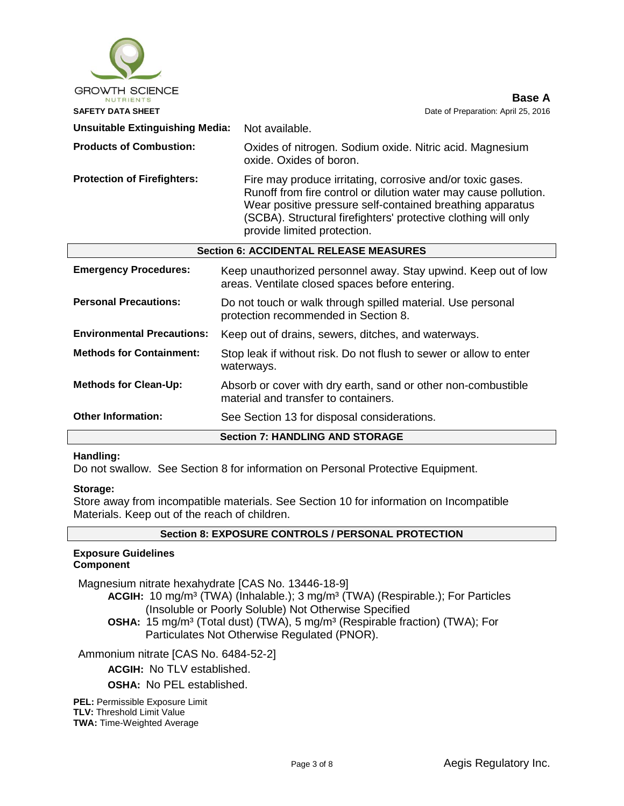| <b>GROWTH SCIENCE</b>                         | Base A                                                                                                                                                                                                                                                                                      |  |
|-----------------------------------------------|---------------------------------------------------------------------------------------------------------------------------------------------------------------------------------------------------------------------------------------------------------------------------------------------|--|
| <b>SAFETY DATA SHEET</b>                      | Date of Preparation: April 25, 2016                                                                                                                                                                                                                                                         |  |
| <b>Unsuitable Extinguishing Media:</b>        | Not available.                                                                                                                                                                                                                                                                              |  |
| <b>Products of Combustion:</b>                | Oxides of nitrogen. Sodium oxide. Nitric acid. Magnesium<br>oxide. Oxides of boron.                                                                                                                                                                                                         |  |
| <b>Protection of Firefighters:</b>            | Fire may produce irritating, corrosive and/or toxic gases.<br>Runoff from fire control or dilution water may cause pollution.<br>Wear positive pressure self-contained breathing apparatus<br>(SCBA). Structural firefighters' protective clothing will only<br>provide limited protection. |  |
| <b>Section 6: ACCIDENTAL RELEASE MEASURES</b> |                                                                                                                                                                                                                                                                                             |  |
| <b>Emergency Procedures:</b>                  | Keep unauthorized personnel away. Stay upwind. Keep out of low<br>areas. Ventilate closed spaces before entering.                                                                                                                                                                           |  |
| <b>Personal Precautions:</b>                  | Do not touch or walk through spilled material. Use personal<br>protection recommended in Section 8.                                                                                                                                                                                         |  |
| <b>Environmental Precautions:</b>             | Keep out of drains, sewers, ditches, and waterways.                                                                                                                                                                                                                                         |  |
| <b>Methods for Containment:</b>               | Stop leak if without risk. Do not flush to sewer or allow to enter<br>waterways.                                                                                                                                                                                                            |  |
| <b>Methods for Clean-Up:</b>                  | Absorb or cover with dry earth, sand or other non-combustible<br>material and transfer to containers.                                                                                                                                                                                       |  |
| <b>Other Information:</b>                     | See Section 13 for disposal considerations.                                                                                                                                                                                                                                                 |  |
|                                               | <b>Section 7: HANDLING AND STORAGE</b>                                                                                                                                                                                                                                                      |  |

## **Handling:**

Do not swallow. See Section 8 for information on Personal Protective Equipment.

#### **Storage:**

Store away from incompatible materials. See Section 10 for information on Incompatible Materials. Keep out of the reach of children.

## **Section 8: EXPOSURE CONTROLS / PERSONAL PROTECTION**

#### **Exposure Guidelines Component**

Magnesium nitrate hexahydrate [CAS No. 13446-18-9]

**ACGIH:** 10 mg/m³ (TWA) (Inhalable.); 3 mg/m³ (TWA) (Respirable.); For Particles (Insoluble or Poorly Soluble) Not Otherwise Specified

**OSHA:** 15 mg/m<sup>3</sup> (Total dust) (TWA), 5 mg/m<sup>3</sup> (Respirable fraction) (TWA); For Particulates Not Otherwise Regulated (PNOR).

Ammonium nitrate [CAS No. 6484-52-2]

**ACGIH:** No TLV established.

**OSHA:** No PEL established.

**PEL: Permissible Exposure Limit TLV:** Threshold Limit Value **TWA:** Time-Weighted Average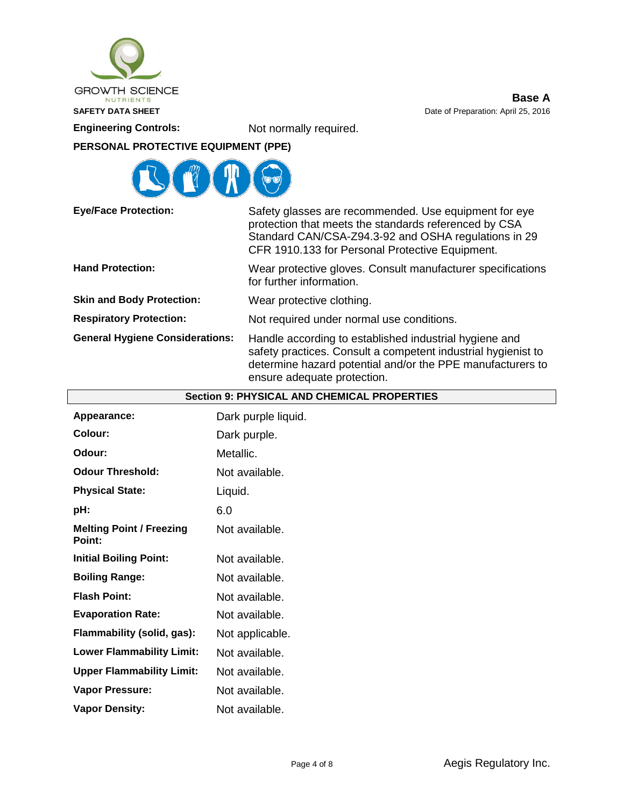

**Base A SAFETY DATA SHEET DATA SHEET DATA SHEET DATA SHEET DATA SHEET DATA SHEET DATA SHEET DATA SHEET DATA SHEET DATA SHEET DATA SHEET DATA SHEET DATA SHEET DATA SHEET DATA SHEET DATA SHEET DATA S** 

**Engineering Controls:** Not normally required.

# **PERSONAL PROTECTIVE EQUIPMENT (PPE)**



| <b>Eye/Face Protection:</b>            | Safety glasses are recommended. Use equipment for eye<br>protection that meets the standards referenced by CSA<br>Standard CAN/CSA-Z94.3-92 and OSHA regulations in 29<br>CFR 1910.133 for Personal Protective Equipment. |  |
|----------------------------------------|---------------------------------------------------------------------------------------------------------------------------------------------------------------------------------------------------------------------------|--|
| <b>Hand Protection:</b>                | Wear protective gloves. Consult manufacturer specifications<br>for further information.                                                                                                                                   |  |
| <b>Skin and Body Protection:</b>       | Wear protective clothing.                                                                                                                                                                                                 |  |
| <b>Respiratory Protection:</b>         | Not required under normal use conditions.                                                                                                                                                                                 |  |
| <b>General Hygiene Considerations:</b> | Handle according to established industrial hygiene and<br>safety practices. Consult a competent industrial hygienist to<br>determine hazard potential and/or the PPE manufacturers to<br>ensure adequate protection.      |  |

| <b>Section 9: PHYSICAL AND CHEMICAL PROPERTIES</b> |                     |  |  |
|----------------------------------------------------|---------------------|--|--|
| Appearance:                                        | Dark purple liquid. |  |  |
| <b>Colour:</b>                                     | Dark purple.        |  |  |
| Odour:                                             | Metallic.           |  |  |
| <b>Odour Threshold:</b>                            | Not available.      |  |  |
| <b>Physical State:</b>                             | Liquid.             |  |  |
| pH:                                                | 6.0                 |  |  |
| <b>Melting Point / Freezing</b><br>Point:          | Not available.      |  |  |
| <b>Initial Boiling Point:</b>                      | Not available.      |  |  |
| <b>Boiling Range:</b>                              | Not available.      |  |  |
| <b>Flash Point:</b>                                | Not available.      |  |  |
| <b>Evaporation Rate:</b>                           | Not available.      |  |  |
| Flammability (solid, gas):                         | Not applicable.     |  |  |
| <b>Lower Flammability Limit:</b>                   | Not available.      |  |  |
| <b>Upper Flammability Limit:</b>                   | Not available.      |  |  |
| <b>Vapor Pressure:</b>                             | Not available.      |  |  |
| <b>Vapor Density:</b>                              | Not available.      |  |  |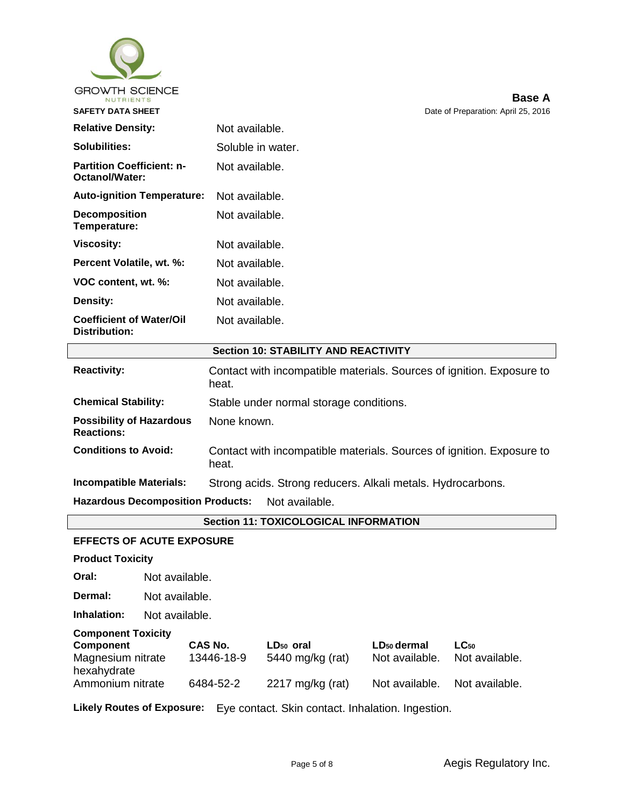

| <b>Relative Density:</b>                           | Not available.    |
|----------------------------------------------------|-------------------|
| Solubilities:                                      | Soluble in water. |
| <b>Partition Coefficient: n-</b><br>Octanol/Water: | Not available.    |
| <b>Auto-ignition Temperature:</b>                  | Not available.    |
| <b>Decomposition</b><br>Temperature:               | Not available.    |
| Viscosity:                                         | Not available.    |
| Percent Volatile, wt. %:                           | Not available.    |
| VOC content, wt. %:                                | Not available.    |
| <b>Density:</b>                                    | Not available.    |
| <b>Coefficient of Water/Oil</b><br>Distribution:   | Not available.    |

## **Section 10: STABILITY AND REACTIVITY**

| <b>Reactivity:</b>                                         | Contact with incompatible materials. Sources of ignition. Exposure to<br>heat. |  |  |
|------------------------------------------------------------|--------------------------------------------------------------------------------|--|--|
| <b>Chemical Stability:</b>                                 | Stable under normal storage conditions.                                        |  |  |
| <b>Possibility of Hazardous</b><br><b>Reactions:</b>       | None known.                                                                    |  |  |
| <b>Conditions to Avoid:</b>                                | Contact with incompatible materials. Sources of ignition. Exposure to<br>heat. |  |  |
| <b>Incompatible Materials:</b>                             | Strong acids. Strong reducers. Alkali metals. Hydrocarbons.                    |  |  |
| <b>Hazardous Decomposition Products:</b><br>Not available. |                                                                                |  |  |

## **Section 11: TOXICOLOGICAL INFORMATION**

## **EFFECTS OF ACUTE EXPOSURE**

**Product Toxicity**

**Oral:** Not available.

**Dermal:** Not available.

**Inhalation:** Not available.

| <b>Component Toxicity</b>        |            |                       |                         |                |
|----------------------------------|------------|-----------------------|-------------------------|----------------|
| Component                        | CAS No.    | LD <sub>50</sub> oral | LD <sub>50</sub> dermal | $LC_{50}$      |
| Magnesium nitrate<br>hexahydrate | 13446-18-9 | 5440 mg/kg (rat)      | Not available.          | Not available. |
| Ammonium nitrate                 | 6484-52-2  | 2217 mg/kg (rat)      | Not available.          | Not available. |

**Likely Routes of Exposure:** Eye contact. Skin contact. Inhalation. Ingestion.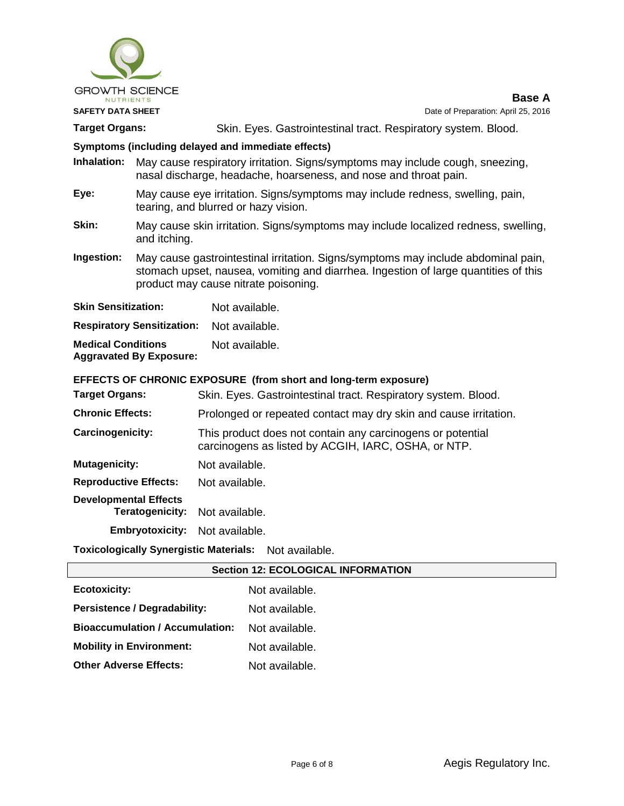

**Base A**

Target Organs: Skin. Eyes. Gastrointestinal tract. Respiratory system. Blood.

## **Symptoms (including delayed and immediate effects)**

**Inhalation:** May cause respiratory irritation. Signs/symptoms may include cough, sneezing, nasal discharge, headache, hoarseness, and nose and throat pain.

- **Eye:** May cause eye irritation. Signs/symptoms may include redness, swelling, pain, tearing, and blurred or hazy vision.
- **Skin:** May cause skin irritation. Signs/symptoms may include localized redness, swelling, and itching.
- **Ingestion:** May cause gastrointestinal irritation. Signs/symptoms may include abdominal pain, stomach upset, nausea, vomiting and diarrhea. Ingestion of large quantities of this product may cause nitrate poisoning.

| <b>Skin Sensitization:</b>                                  | Not available. |
|-------------------------------------------------------------|----------------|
| <b>Respiratory Sensitization:</b>                           | Not available. |
| <b>Medical Conditions</b><br><b>Aggravated By Exposure:</b> | Not available. |

# **EFFECTS OF CHRONIC EXPOSURE (from short and long-term exposure)**

|                                       | EFFECTS OF CHRONIC EXPOSURE (from short and long-term exposure)                                                   |
|---------------------------------------|-------------------------------------------------------------------------------------------------------------------|
| Target Organs:                        | Skin. Eyes. Gastrointestinal tract. Respiratory system. Blood.                                                    |
| <b>Chronic Effects:</b>               | Prolonged or repeated contact may dry skin and cause irritation.                                                  |
| Carcinogenicity:                      | This product does not contain any carcinogens or potential<br>carcinogens as listed by ACGIH, IARC, OSHA, or NTP. |
| <b>Mutagenicity:</b>                  | Not available.                                                                                                    |
| <b>Reproductive Effects:</b>          | Not available.                                                                                                    |
| <b>Developmental Effects</b>          |                                                                                                                   |
| <b>Teratogenicity:</b> Not available. |                                                                                                                   |
| <b>Embryotoxicity:</b>                | Not available.                                                                                                    |
|                                       |                                                                                                                   |

**Toxicologically Synergistic Materials:** Not available.

| <b>Section 12: ECOLOGICAL INFORMATION</b> |                |  |  |  |
|-------------------------------------------|----------------|--|--|--|
| <b>Ecotoxicity:</b>                       | Not available. |  |  |  |
| Persistence / Degradability:              | Not available. |  |  |  |
| <b>Bioaccumulation / Accumulation:</b>    | Not available. |  |  |  |
| <b>Mobility in Environment:</b>           | Not available. |  |  |  |
| <b>Other Adverse Effects:</b>             | Not available. |  |  |  |
|                                           |                |  |  |  |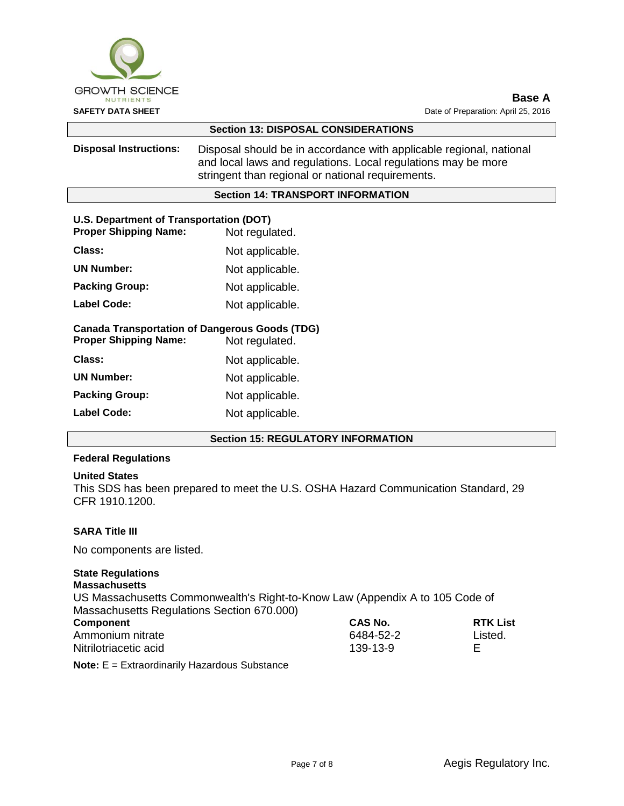

| <b>Section 13: DISPOSAL CONSIDERATIONS</b>                                                              |                                                                                                                                                                                           |  |  |  |
|---------------------------------------------------------------------------------------------------------|-------------------------------------------------------------------------------------------------------------------------------------------------------------------------------------------|--|--|--|
| <b>Disposal Instructions:</b>                                                                           | Disposal should be in accordance with applicable regional, national<br>and local laws and regulations. Local regulations may be more<br>stringent than regional or national requirements. |  |  |  |
| <b>Section 14: TRANSPORT INFORMATION</b>                                                                |                                                                                                                                                                                           |  |  |  |
| U.S. Department of Transportation (DOT)<br><b>Proper Shipping Name:</b><br>Not regulated.               |                                                                                                                                                                                           |  |  |  |
| Class:                                                                                                  | Not applicable.                                                                                                                                                                           |  |  |  |
| <b>UN Number:</b>                                                                                       | Not applicable.                                                                                                                                                                           |  |  |  |
| <b>Packing Group:</b>                                                                                   | Not applicable.                                                                                                                                                                           |  |  |  |
| <b>Label Code:</b>                                                                                      | Not applicable.                                                                                                                                                                           |  |  |  |
| <b>Canada Transportation of Dangerous Goods (TDG)</b><br><b>Proper Shipping Name:</b><br>Not regulated. |                                                                                                                                                                                           |  |  |  |
| Class:                                                                                                  | Not applicable.                                                                                                                                                                           |  |  |  |
| <b>UN Number:</b>                                                                                       | Not applicable.                                                                                                                                                                           |  |  |  |
| <b>Packing Group:</b>                                                                                   | Not applicable.                                                                                                                                                                           |  |  |  |
| Label Code:                                                                                             | Not applicable.                                                                                                                                                                           |  |  |  |
|                                                                                                         |                                                                                                                                                                                           |  |  |  |

## **Section 15: REGULATORY INFORMATION**

#### **Federal Regulations**

#### **United States**

This SDS has been prepared to meet the U.S. OSHA Hazard Communication Standard, 29 CFR 1910.1200.

## **SARA Title III**

No components are listed.

## **State Regulations**

## **Massachusetts**

US Massachusetts Commonwealth's Right-to-Know Law (Appendix A to 105 Code of Massachusetts Regulations Section 670.000) **Component CAS No. RTK List**

| component             | <b>GAS NO.</b> | <b>KINLIST</b> |
|-----------------------|----------------|----------------|
| Ammonium nitrate      | 6484-52-2      | Listed.        |
| Nitrilotriacetic acid | 139-13-9       |                |
|                       |                |                |

**Note:** E = Extraordinarily Hazardous Substance